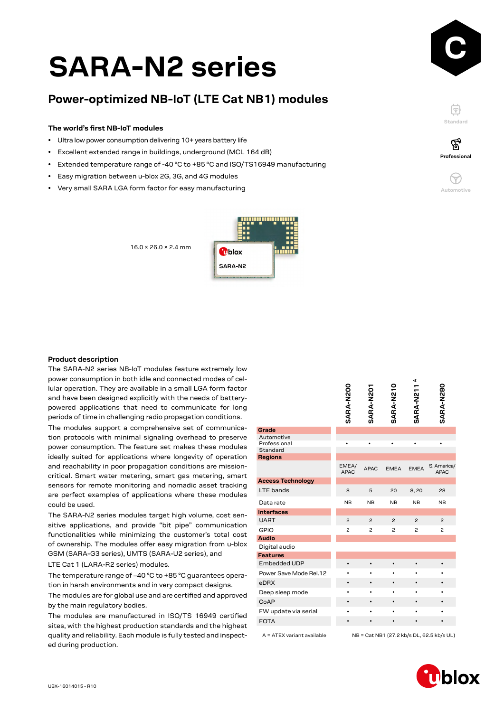# **<sup>C</sup> SARA-N2 series**

# **Power-optimized NB-IoT (LTE Cat NB1) modules**

#### **The world's first NB-IoT modules**

- Ultra low power consumption delivering 10+ years battery life
- Excellent extended range in buildings, underground (MCL 164 dB)
- Extended temperature range of -40 °C to +85 °C and ISO/TS16949 manufacturing
- Easy migration between u-blox 2G, 3G, and 4G modules
- Very small SARA LGA form factor for easy manufacturing



F **Standard**

′ିବୁ





#### **Product description**

The SARA-N2 series NB-IoT modules feature extremely low power consumption in both idle and connected modes of cellular operation. They are available in a small LGA form factor and have been designed explicitly with the needs of batterypowered applications that need to communicate for long periods of time in challenging radio propagation conditions.

The modules support a comprehensive set of communication protocols with minimal signaling overhead to preserve power consumption. The feature set makes these modules ideally suited for applications where longevity of operation and reachability in poor propagation conditions are missioncritical. Smart water metering, smart gas metering, smart sensors for remote monitoring and nomadic asset tracking are perfect examples of applications where these modules could be used.

The SARA-N2 series modules target high volume, cost sensitive applications, and provide "bit pipe" communication functionalities while minimizing the customer's total cost of ownership. The modules offer easy migration from u-blox GSM (SARA-G3 series), UMTS (SARA-U2 series), and

LTE Cat 1 (LARA-R2 series) modules.

The temperature range of –40 °C to +85 °C guarantees operation in harsh environments and in very compact designs.

The modules are for global use and are certified and approved by the main regulatory bodies.

The modules are manufactured in ISO/TS 16949 certified sites, with the highest production standards and the highest quality and reliability. Each module is fully tested and inspected during production.

|                            | SARA-N200            | SARA-N201      | SARA-N210      | ⋖<br>SARA-N211 | SARA-N280                                 |
|----------------------------|----------------------|----------------|----------------|----------------|-------------------------------------------|
| Grade                      |                      |                |                |                |                                           |
| Automotive<br>Professional |                      |                |                |                | ٠                                         |
| Standard                   |                      |                |                |                |                                           |
| <b>Regions</b>             |                      |                |                |                |                                           |
|                            | EMEA/<br><b>APAC</b> | <b>APAC</b>    | <b>EMEA</b>    | <b>EMEA</b>    | S. America/<br><b>APAC</b>                |
| <b>Access Technology</b>   |                      |                |                |                |                                           |
| LTE bands                  | 8                    | 5              | 20             | 8,20           | 28                                        |
| Data rate                  | <b>NB</b>            | NB             | <b>NB</b>      | NB             | <b>NB</b>                                 |
| <b>Interfaces</b>          |                      |                |                |                |                                           |
| <b>UART</b>                | $\overline{c}$       | $\overline{c}$ | $\overline{c}$ | $\overline{c}$ | $\overline{c}$                            |
| <b>GPIO</b>                | $\overline{c}$       | $\overline{c}$ | $\overline{c}$ | $\overline{c}$ | $\overline{c}$                            |
| <b>Audio</b>               |                      |                |                |                |                                           |
| Digital audio              |                      |                |                |                |                                           |
| <b>Features</b>            |                      |                |                |                |                                           |
| Embedded UDP               |                      |                |                |                |                                           |
| Power Save Mode Rel.12     |                      |                |                |                |                                           |
| eDRX                       |                      |                |                |                |                                           |
| Deep sleep mode            |                      |                |                |                | ٠                                         |
| CoAP                       |                      |                |                |                |                                           |
| FW update via serial       |                      |                |                |                |                                           |
| <b>FOTA</b>                |                      |                |                |                |                                           |
| A = ATEX variant available |                      |                |                |                | NB = Cat NB1 (27.2 kb/s DL, 62.5 kb/s UL) |